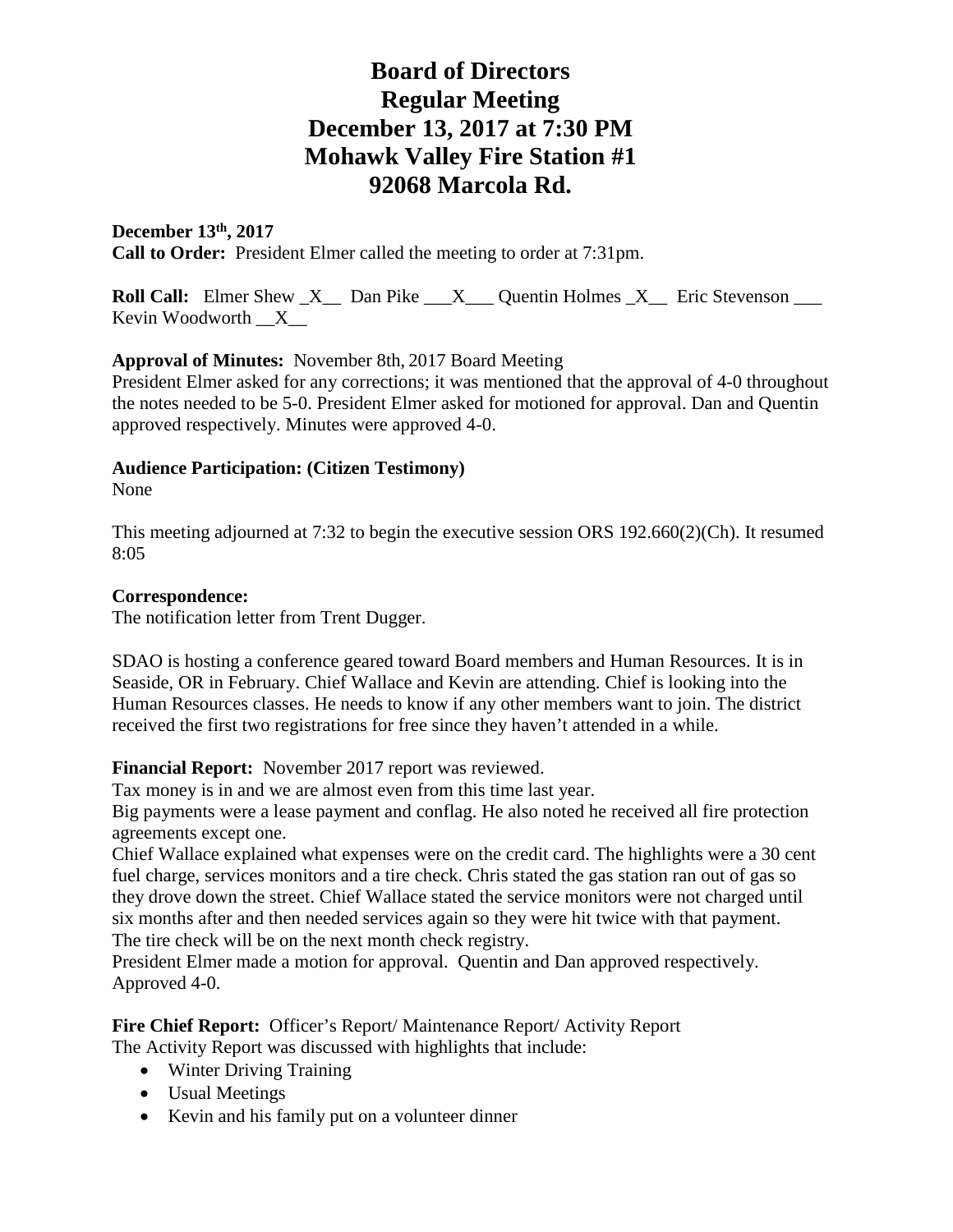## **December 13th, 2017 Call to Order:** President Elmer called the meeting to order at 7:31pm.

**Roll Call:** Elmer Shew X Dan Pike X Quentin Holmes X Eric Stevenson Kevin Woodworth  $X$ 

### **Approval of Minutes:** November 8th, 2017 Board Meeting

President Elmer asked for any corrections; it was mentioned that the approval of 4-0 throughout the notes needed to be 5-0. President Elmer asked for motioned for approval. Dan and Quentin approved respectively. Minutes were approved 4-0.

### **Audience Participation: (Citizen Testimony)**

None

This meeting adjourned at 7:32 to begin the executive session ORS 192.660(2)(Ch). It resumed 8:05

### **Correspondence:**

The notification letter from Trent Dugger.

SDAO is hosting a conference geared toward Board members and Human Resources. It is in Seaside, OR in February. Chief Wallace and Kevin are attending. Chief is looking into the Human Resources classes. He needs to know if any other members want to join. The district received the first two registrations for free since they haven't attended in a while.

### **Financial Report:** November 2017 report was reviewed.

Tax money is in and we are almost even from this time last year.

Big payments were a lease payment and conflag. He also noted he received all fire protection agreements except one.

Chief Wallace explained what expenses were on the credit card. The highlights were a 30 cent fuel charge, services monitors and a tire check. Chris stated the gas station ran out of gas so they drove down the street. Chief Wallace stated the service monitors were not charged until six months after and then needed services again so they were hit twice with that payment. The tire check will be on the next month check registry.

President Elmer made a motion for approval. Quentin and Dan approved respectively. Approved 4-0.

#### Fire Chief Report: Officer's Report/ Maintenance Report/ Activity Report The Activity Report was discussed with highlights that include:

- Winter Driving Training
- Usual Meetings
- Kevin and his family put on a volunteer dinner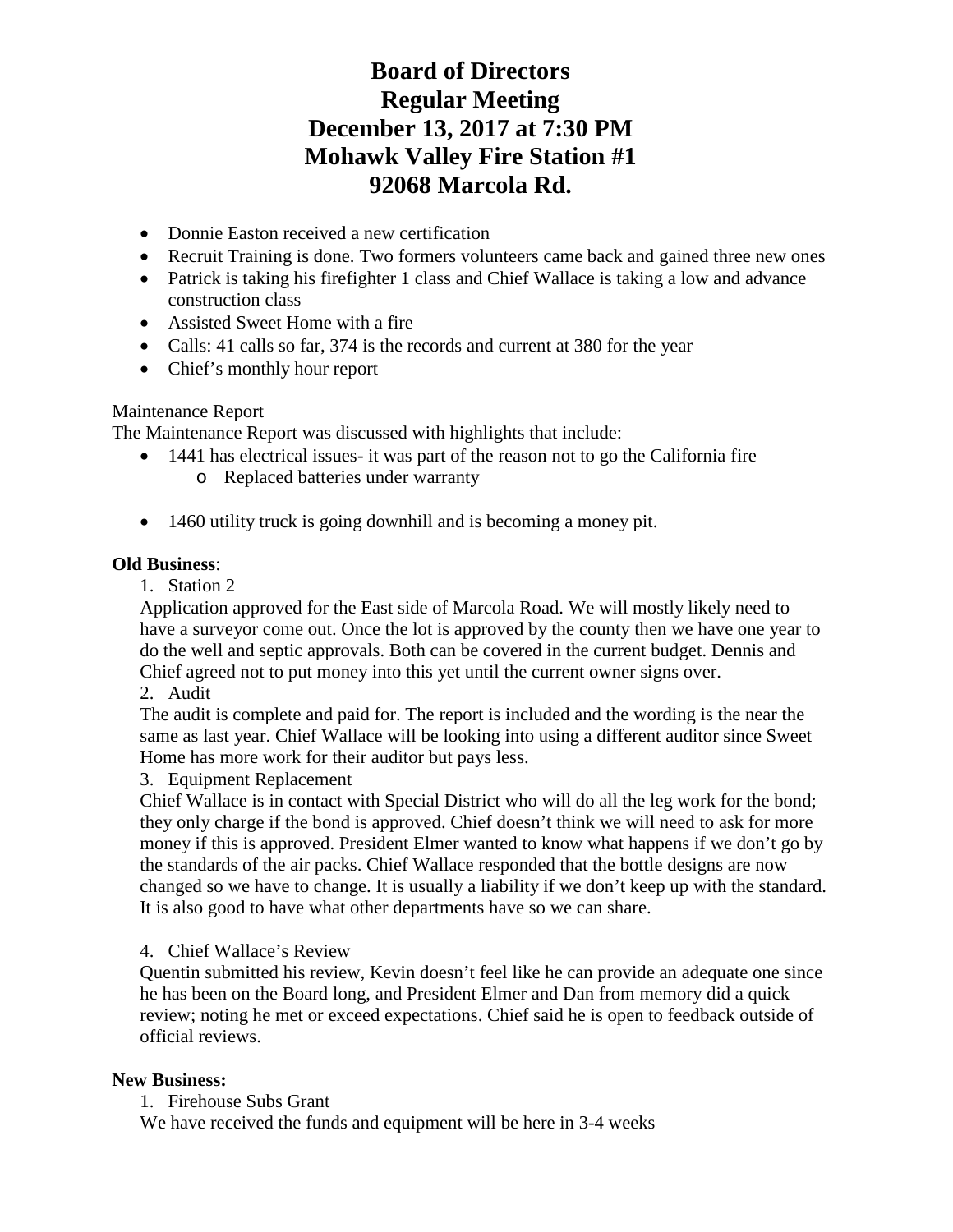- Donnie Easton received a new certification
- Recruit Training is done. Two formers volunteers came back and gained three new ones
- Patrick is taking his firefighter 1 class and Chief Wallace is taking a low and advance construction class
- Assisted Sweet Home with a fire
- Calls: 41 calls so far, 374 is the records and current at 380 for the year
- Chief's monthly hour report

### Maintenance Report

The Maintenance Report was discussed with highlights that include:

- 1441 has electrical issues- it was part of the reason not to go the California fire o Replaced batteries under warranty
- 1460 utility truck is going downhill and is becoming a money pit.

### **Old Business**:

1. Station 2

Application approved for the East side of Marcola Road. We will mostly likely need to have a surveyor come out. Once the lot is approved by the county then we have one year to do the well and septic approvals. Both can be covered in the current budget. Dennis and Chief agreed not to put money into this yet until the current owner signs over.

2. Audit

The audit is complete and paid for. The report is included and the wording is the near the same as last year. Chief Wallace will be looking into using a different auditor since Sweet Home has more work for their auditor but pays less.

### 3. Equipment Replacement

Chief Wallace is in contact with Special District who will do all the leg work for the bond; they only charge if the bond is approved. Chief doesn't think we will need to ask for more money if this is approved. President Elmer wanted to know what happens if we don't go by the standards of the air packs. Chief Wallace responded that the bottle designs are now changed so we have to change. It is usually a liability if we don't keep up with the standard. It is also good to have what other departments have so we can share.

### 4. Chief Wallace's Review

Quentin submitted his review, Kevin doesn't feel like he can provide an adequate one since he has been on the Board long, and President Elmer and Dan from memory did a quick review; noting he met or exceed expectations. Chief said he is open to feedback outside of official reviews.

### **New Business:**

1. Firehouse Subs Grant

We have received the funds and equipment will be here in 3-4 weeks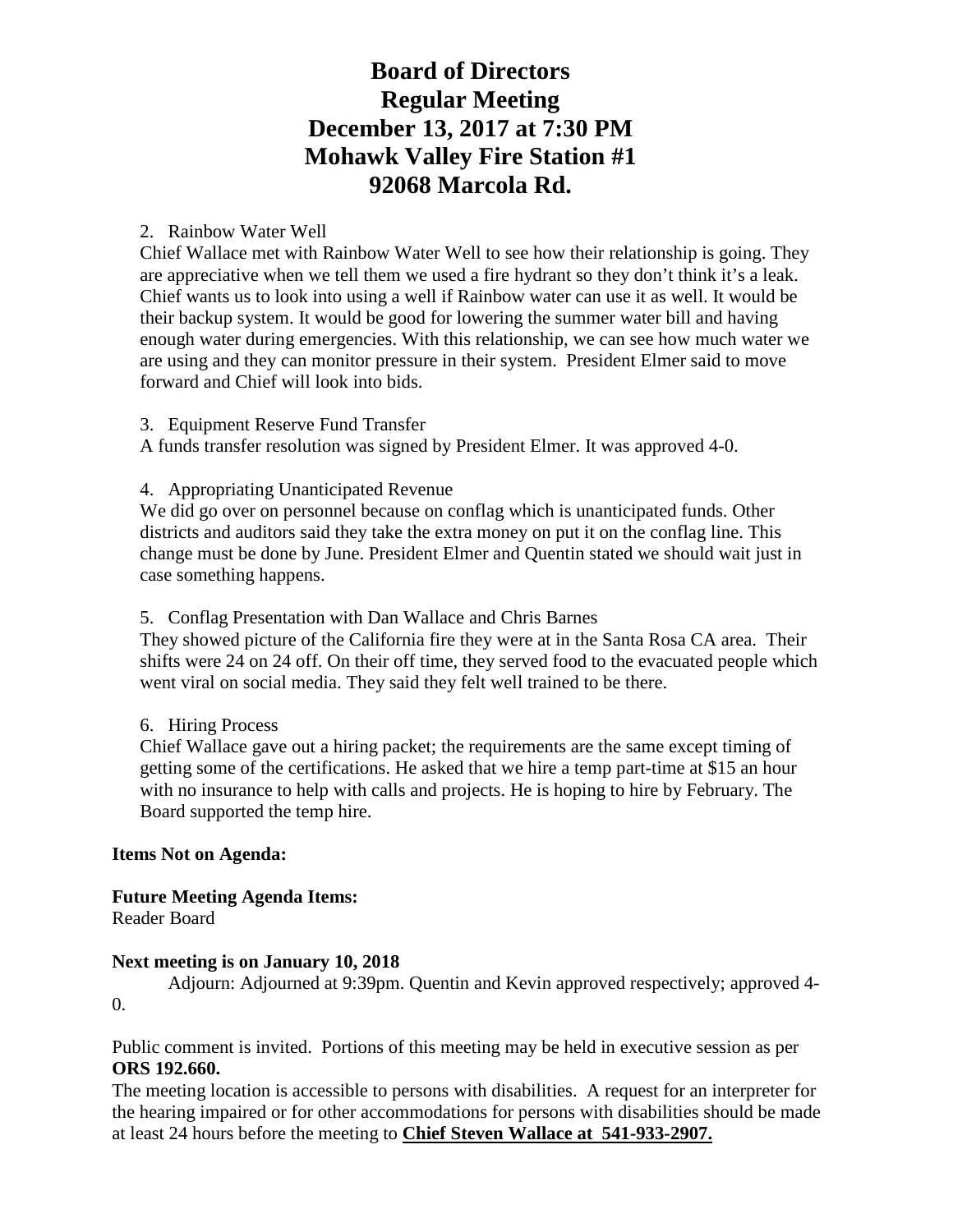#### 2. Rainbow Water Well

Chief Wallace met with Rainbow Water Well to see how their relationship is going. They are appreciative when we tell them we used a fire hydrant so they don't think it's a leak. Chief wants us to look into using a well if Rainbow water can use it as well. It would be their backup system. It would be good for lowering the summer water bill and having enough water during emergencies. With this relationship, we can see how much water we are using and they can monitor pressure in their system. President Elmer said to move forward and Chief will look into bids.

3. Equipment Reserve Fund Transfer

A funds transfer resolution was signed by President Elmer. It was approved 4-0.

#### 4. Appropriating Unanticipated Revenue

We did go over on personnel because on conflag which is unanticipated funds. Other districts and auditors said they take the extra money on put it on the conflag line. This change must be done by June. President Elmer and Quentin stated we should wait just in case something happens.

#### 5. Conflag Presentation with Dan Wallace and Chris Barnes

They showed picture of the California fire they were at in the Santa Rosa CA area. Their shifts were 24 on 24 off. On their off time, they served food to the evacuated people which went viral on social media. They said they felt well trained to be there.

#### 6. Hiring Process

Chief Wallace gave out a hiring packet; the requirements are the same except timing of getting some of the certifications. He asked that we hire a temp part-time at \$15 an hour with no insurance to help with calls and projects. He is hoping to hire by February. The Board supported the temp hire.

### **Items Not on Agenda:**

**Future Meeting Agenda Items:**  Reader Board

### **Next meeting is on January 10, 2018**

Adjourn: Adjourned at 9:39pm. Quentin and Kevin approved respectively; approved 4- 0.

Public comment is invited. Portions of this meeting may be held in executive session as per **ORS 192.660.**

The meeting location is accessible to persons with disabilities. A request for an interpreter for the hearing impaired or for other accommodations for persons with disabilities should be made at least 24 hours before the meeting to **Chief Steven Wallace at 541-933-2907.**